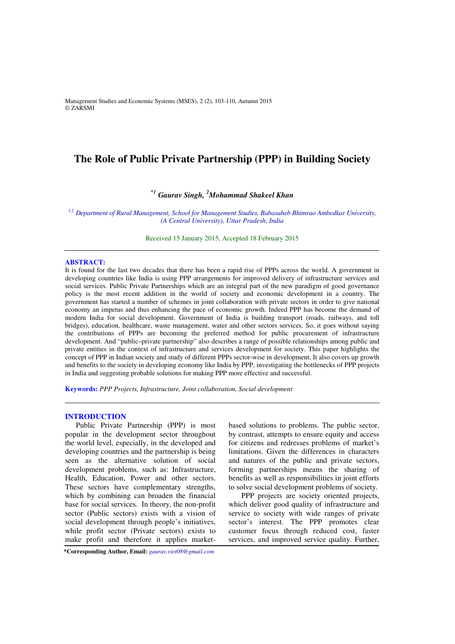Management Studies and Economic Systems (MSES), 2 (2), 103-110, Autumn 2015 © ZARSMI

# **The Role of Public Private Partnership (PPP) in Building Society**

# *\*<sup>1</sup> Gaurav Singh, <sup>2</sup>Mohammad Shakeel Khan*

*1,2 Department of Rural Management, School for Management Studies, Babasaheb Bhimrao Ambedkar University, (A Central University), Uttar Pradesh, India* 

> Received 15 January 2015, Accepted 18 February 2015

#### **ABSTRACT:**

It is found for the last two decades that there has been a rapid rise of PPPs across the world. A government in developing countries like India is using PPP arrangements for improved delivery of infrastructure services and social services. Public Private Partnerships which are an integral part of the new paradigm of good governance policy is the most recent addition in the world of society and economic development in a country. The government has started a number of schemes in joint collaboration with private sectors in order to give national economy an impetus and thus enhancing the pace of economic growth. Indeed PPP has become the demand of modern India for social development. Government of India is building transport (roads, railways, and toll bridges), education, healthcare, waste management, water and other sectors services. So, it goes without saying the contributions of PPPs are becoming the preferred method for public procurement of infrastructure development. And "public–private partnership" also describes a range of possible relationships among public and private entities in the context of infrastructure and services development for society. This paper highlights the concept of PPP in Indian society and study of different PPPs sector-wise in development, It also covers up growth and benefits to the society in developing economy like India by PPP, investigating the bottlenecks of PPP projects in India and suggesting probable solutions for making PPP more effective and successful.

**Keywords:** *PPP Projects, Infrastructure, Joint collaboration, Social development* 

# **INTRODUCTION**

Public Private Partnership (PPP) is most popular in the development sector throughout the world level, especially, in the developed and developing countries and the partnership is being seen as the alternative solution of social development problems, such as: Infrastructure, Health, Education, Power and other sectors. These sectors have complementary strengths, which by combining can broaden the financial base for social services. In theory, the non-profit sector (Public sectors) exists with a vision of social development through people's initiatives, while profit sector (Private sectors) exists to make profit and therefore it applies marketbased solutions to problems. The public sector, by contrast, attempts to ensure equity and access for citizens and redresses problems of market's limitations. Given the differences in characters and natures of the public and private sectors, forming partnerships means the sharing of benefits as well as responsibilities in joint efforts to solve social development problems of society.

 PPP projects are society oriented projects, which deliver good quality of infrastructure and service to society with wide ranges of private sector's interest. The PPP promotes clear customer focus through reduced cost, faster services, and improved service quality. Further,

**\*Corresponding Author, Email:** *gaurav.viet08@gmail.com*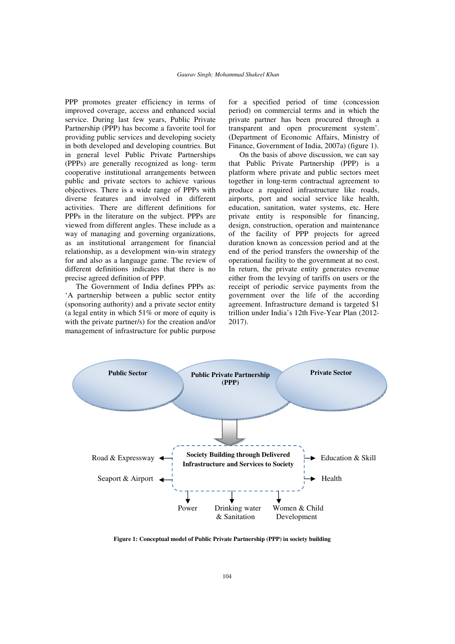PPP promotes greater efficiency in terms of improved coverage, access and enhanced social service. During last few years, Public Private Partnership (PPP) has become a favorite tool for providing public services and developing society in both developed and developing countries. But in general level Public Private Partnerships (PPPs) are generally recognized as long- term cooperative institutional arrangements between public and private sectors to achieve various objectives. There is a wide range of PPPs with diverse features and involved in different activities. There are different definitions for PPPs in the literature on the subject. PPPs are viewed from different angles. These include as a way of managing and governing organizations, as an institutional arrangement for financial relationship, as a development win-win strategy for and also as a language game. The review of different definitions indicates that there is no precise agreed definition of PPP.

The Government of India defines PPPs as: 'A partnership between a public sector entity (sponsoring authority) and a private sector entity (a legal entity in which 51% or more of equity is with the private partner/s) for the creation and/or management of infrastructure for public purpose

for a specified period of time (concession period) on commercial terms and in which the private partner has been procured through a transparent and open procurement system'. (Department of Economic Affairs, Ministry of Finance, Government of India, 2007a) (figure 1).

On the basis of above discussion, we can say that Public Private Partnership (PPP) is a platform where private and public sectors meet together in long-term contractual agreement to produce a required infrastructure like roads, airports, port and social service like health, education, sanitation, water systems, etc. Here private entity is responsible for financing, design, construction, operation and maintenance of the facility of PPP projects for agreed duration known as concession period and at the end of the period transfers the ownership of the operational facility to the government at no cost. In return, the private entity generates revenue either from the levying of tariffs on users or the receipt of periodic service payments from the government over the life of the according agreement. Infrastructure demand is targeted \$1 trillion under India's 12th Five-Year Plan (2012- 2017).



**Figure 1: Conceptual model of Public Private Partnership (PPP) in society building**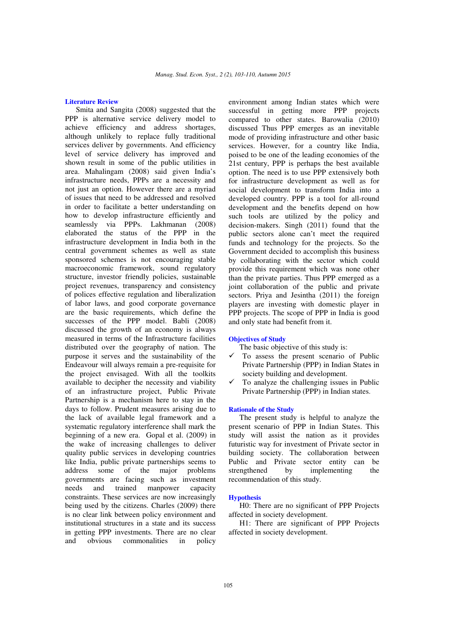# **Literature Review**

Smita and Sangita (2008) suggested that the PPP is alternative service delivery model to achieve efficiency and address shortages, although unlikely to replace fully traditional services deliver by governments. And efficiency level of service delivery has improved and shown result in some of the public utilities in area. Mahalingam (2008) said given India's infrastructure needs, PPPs are a necessity and not just an option. However there are a myriad of issues that need to be addressed and resolved in order to facilitate a better understanding on how to develop infrastructure efficiently and seamlessly via PPPs. Lakhmanan (2008) elaborated the status of the PPP in the infrastructure development in India both in the central government schemes as well as state sponsored schemes is not encouraging stable macroeconomic framework, sound regulatory structure, investor friendly policies, sustainable project revenues, transparency and consistency of polices effective regulation and liberalization of labor laws, and good corporate governance are the basic requirements, which define the successes of the PPP model. Babli (2008) discussed the growth of an economy is always measured in terms of the Infrastructure facilities distributed over the geography of nation. The purpose it serves and the sustainability of the Endeavour will always remain a pre-requisite for the project envisaged. With all the toolkits available to decipher the necessity and viability of an infrastructure project, Public Private Partnership is a mechanism here to stay in the days to follow. Prudent measures arising due to the lack of available legal framework and a systematic regulatory interference shall mark the beginning of a new era. Gopal et al. (2009) in the wake of increasing challenges to deliver quality public services in developing countries like India, public private partnerships seems to address some of the major problems governments are facing such as investment needs and trained manpower capacity constraints. These services are now increasingly being used by the citizens. Charles (2009) there is no clear link between policy environment and institutional structures in a state and its success in getting PPP investments. There are no clear and obvious commonalities in policy

environment among Indian states which were successful in getting more PPP projects compared to other states. Barowalia (2010) discussed Thus PPP emerges as an inevitable mode of providing infrastructure and other basic services. However, for a country like India, poised to be one of the leading economies of the 21st century, PPP is perhaps the best available option. The need is to use PPP extensively both for infrastructure development as well as for social development to transform India into a developed country. PPP is a tool for all-round development and the benefits depend on how such tools are utilized by the policy and decision-makers. Singh (2011) found that the public sectors alone can't meet the required funds and technology for the projects. So the Government decided to accomplish this business by collaborating with the sector which could provide this requirement which was none other than the private parties. Thus PPP emerged as a joint collaboration of the public and private sectors. Priya and Jesintha (2011) the foreign players are investing with domestic player in PPP projects. The scope of PPP in India is good and only state had benefit from it.

### **Objectives of Study**

The basic objective of this study is:

- To assess the present scenario of Public Private Partnership (PPP) in Indian States in society building and development.
- To analyze the challenging issues in Public Private Partnership (PPP) in Indian states.

#### **Rationale of the Study**

The present study is helpful to analyze the present scenario of PPP in Indian States. This study will assist the nation as it provides futuristic way for investment of Private sector in building society. The collaboration between Public and Private sector entity can be strengthened by implementing the recommendation of this study.

#### **Hypothesis**

H0: There are no significant of PPP Projects affected in society development.

H1: There are significant of PPP Projects affected in society development.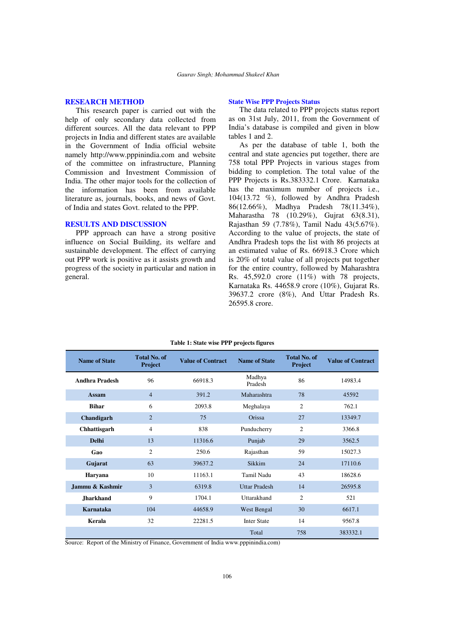## **RESEARCH METHOD**

This research paper is carried out with the help of only secondary data collected from different sources. All the data relevant to PPP projects in India and different states are available in the Government of India official website namely http://www.pppinindia.com and website of the committee on infrastructure, Planning Commission and Investment Commission of India. The other major tools for the collection of the information has been from available literature as, journals, books, and news of Govt. of India and states Govt. related to the PPP.

## **RESULTS AND DISCUSSION**

PPP approach can have a strong positive influence on Social Building, its welfare and sustainable development. The effect of carrying out PPP work is positive as it assists growth and progress of the society in particular and nation in general.

## **State Wise PPP Projects Status**

The data related to PPP projects status report as on 31st July, 2011, from the Government of India's database is compiled and given in blow tables 1 and 2.

As per the database of table 1, both the central and state agencies put together, there are 758 total PPP Projects in various stages from bidding to completion. The total value of the PPP Projects is Rs.383332.1 Crore. Karnataka has the maximum number of projects i.e., 104(13.72 %), followed by Andhra Pradesh 86(12.66%), Madhya Pradesh 78(11.34%), Maharastha 78 (10.29%), Gujrat 63(8.31), Rajasthan 59 (7.78%), Tamil Nadu 43(5.67%). According to the value of projects, the state of Andhra Pradesh tops the list with 86 projects at an estimated value of Rs. 66918.3 Crore which is 20% of total value of all projects put together for the entire country, followed by Maharashtra Rs. 45,592.0 crore (11%) with 78 projects, Karnataka Rs. 44658.9 crore (10%), Gujarat Rs. 39637.2 crore (8%), And Uttar Pradesh Rs. 26595.8 crore.

| <b>Name of State</b>  | <b>Total No. of</b><br>Project | <b>Value of Contract</b> | <b>Name of State</b>          | <b>Total No. of</b><br>Project | <b>Value of Contract</b> |
|-----------------------|--------------------------------|--------------------------|-------------------------------|--------------------------------|--------------------------|
| <b>Andhra Pradesh</b> | 96                             | 66918.3                  | Madhya<br>Pradesh             | 86                             | 14983.4                  |
| Assam                 | $\overline{4}$                 | 391.2                    | Maharashtra<br>78             |                                | 45592                    |
| <b>Bihar</b>          | 6                              | 2093.8                   | Meghalaya                     | $\overline{2}$                 | 762.1                    |
| Chandigarh            | $\overline{2}$                 | 75                       | 27<br>Orissa                  |                                | 13349.7                  |
| Chhattisgarh          | 4                              | 838                      | $\overline{2}$<br>Punducherry |                                | 3366.8                   |
| <b>Delhi</b>          | 13                             | 11316.6                  | 29<br>Punjab                  |                                | 3562.5                   |
| Gao                   | 2                              | 250.6                    | 59<br>Rajasthan               |                                | 15027.3                  |
| Gujarat               | 63                             | 39637.2                  | Sikkim<br>24                  |                                | 17110.6                  |
| Haryana               | 10                             | 11163.1                  | <b>Tamil Nadu</b>             | 43                             | 18628.6                  |
| Jammu & Kashmir       | 3                              | 6319.8                   | <b>Uttar Pradesh</b>          | 14                             | 26595.8                  |
| <b>Jharkhand</b>      | 9                              | 1704.1                   | Uttarakhand                   | $\overline{2}$                 | 521                      |
| Karnataka             | 104                            | 44658.9                  | West Bengal                   | 30                             | 6617.1                   |
| Kerala                | 32                             | 22281.5                  | <b>Inter State</b><br>14      |                                | 9567.8                   |
|                       |                                |                          | Total                         | 758                            | 383332.1                 |

# **Table 1: State wise PPP projects figures**

Source: Report of the Ministry of Finance, Government of India www.pppinindia.com)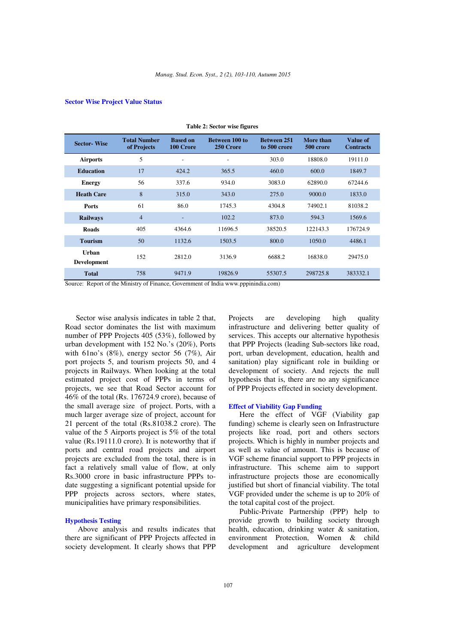**Table 2: Sector wise figures** 

# **Sector Wise Project Value Status**

| rabit $\boldsymbol{z}$ : bector white right $\boldsymbol{c}$ |                                    |                              |                                    |                                    |                        |                              |  |  |  |
|--------------------------------------------------------------|------------------------------------|------------------------------|------------------------------------|------------------------------------|------------------------|------------------------------|--|--|--|
| <b>Sector-Wise</b>                                           | <b>Total Number</b><br>of Projects | <b>Based on</b><br>100 Crore | <b>Between 100 to</b><br>250 Crore | <b>Between 251</b><br>to 500 crore | More than<br>500 crore | Value of<br><b>Contracts</b> |  |  |  |
| <b>Airports</b>                                              | 5                                  | $\overline{a}$               |                                    | 303.0                              | 18808.0                | 19111.0                      |  |  |  |
| <b>Education</b>                                             | 17                                 | 424.2                        | 365.5                              | 460.0                              | 600.0                  | 1849.7                       |  |  |  |
| <b>Energy</b>                                                | 56                                 | 337.6                        | 934.0                              | 3083.0                             | 62890.0                | 67244.6                      |  |  |  |
| <b>Heath Care</b>                                            | 8                                  | 315.0                        | 343.0                              | 275.0                              | 9000.0                 | 1833.0                       |  |  |  |
| <b>Ports</b>                                                 | 61                                 | 86.0                         | 1745.3                             | 4304.8                             | 74902.1                | 81038.2                      |  |  |  |
| <b>Railways</b>                                              | $\overline{4}$                     | $\overline{\phantom{a}}$     | 102.2                              | 873.0                              | 594.3                  | 1569.6                       |  |  |  |
| <b>Roads</b>                                                 | 405                                | 4364.6                       | 11696.5                            | 38520.5                            | 122143.3               | 176724.9                     |  |  |  |
| <b>Tourism</b>                                               | 50                                 | 1132.6                       | 1503.5                             | 800.0                              | 1050.0                 | 4486.1                       |  |  |  |
| Urban<br>Development                                         | 152                                | 2812.0                       | 3136.9                             | 6688.2                             | 16838.0                | 29475.0                      |  |  |  |
| <b>Total</b>                                                 | 758                                | 9471.9                       | 19826.9                            | 55307.5                            | 298725.8               | 383332.1                     |  |  |  |

Source: Report of the Ministry of Finance, Government of India www.pppinindia.com)

Sector wise analysis indicates in table 2 that, Road sector dominates the list with maximum number of PPP Projects 405 (53%), followed by urban development with 152 No.'s (20%), Ports with 61no's (8%), energy sector 56 (7%), Air port projects 5, and tourism projects 50, and 4 projects in Railways. When looking at the total estimated project cost of PPPs in terms of projects, we see that Road Sector account for 46% of the total (Rs. 176724.9 crore), because of the small average size of project. Ports, with a much larger average size of project, account for 21 percent of the total (Rs.81038.2 crore). The value of the 5 Airports project is 5% of the total value (Rs.19111.0 crore). It is noteworthy that if ports and central road projects and airport projects are excluded from the total, there is in fact a relatively small value of flow, at only Rs.3000 crore in basic infrastructure PPPs todate suggesting a significant potential upside for PPP projects across sectors, where states, municipalities have primary responsibilities.

#### **Hypothesis Testing**

Above analysis and results indicates that there are significant of PPP Projects affected in society development. It clearly shows that PPP

Projects are developing high quality infrastructure and delivering better quality of services. This accepts our alternative hypothesis that PPP Projects (leading Sub-sectors like road, port, urban development, education, health and sanitation) play significant role in building or development of society. And rejects the null hypothesis that is, there are no any significance of PPP Projects effected in society development.

## **Effect of Viability Gap Funding**

Here the effect of VGF (Viability gap funding) scheme is clearly seen on Infrastructure projects like road, port and others sectors projects. Which is highly in number projects and as well as value of amount. This is because of VGF scheme financial support to PPP projects in infrastructure. This scheme aim to support infrastructure projects those are economically justified but short of financial viability. The total VGF provided under the scheme is up to 20% of the total capital cost of the project.

Public-Private Partnership (PPP) help to provide growth to building society through health, education, drinking water & sanitation, environment Protection, Women & child development and agriculture development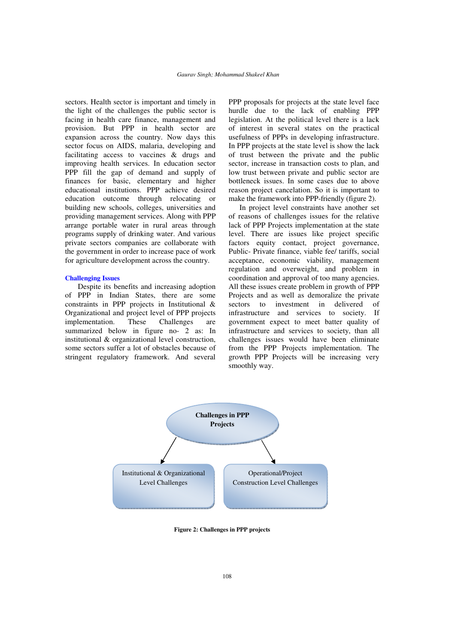sectors. Health sector is important and timely in the light of the challenges the public sector is facing in health care finance, management and provision. But PPP in health sector are expansion across the country. Now days this sector focus on AIDS, malaria, developing and facilitating access to vaccines & drugs and improving health services. In education sector PPP fill the gap of demand and supply of finances for basic, elementary and higher educational institutions. PPP achieve desired education outcome through relocating or building new schools, colleges, universities and providing management services. Along with PPP arrange portable water in rural areas through programs supply of drinking water. And various private sectors companies are collaborate with the government in order to increase pace of work for agriculture development across the country.

#### **Challenging Issues**

Despite its benefits and increasing adoption of PPP in Indian States, there are some constraints in PPP projects in Institutional & Organizational and project level of PPP projects implementation. These Challenges are summarized below in figure no- 2 as: In institutional & organizational level construction, some sectors suffer a lot of obstacles because of stringent regulatory framework. And several

PPP proposals for projects at the state level face hurdle due to the lack of enabling PPP legislation. At the political level there is a lack of interest in several states on the practical usefulness of PPPs in developing infrastructure. In PPP projects at the state level is show the lack of trust between the private and the public sector, increase in transaction costs to plan, and low trust between private and public sector are bottleneck issues. In some cases due to above reason project cancelation. So it is important to make the framework into PPP-friendly (figure 2).

In project level constraints have another set of reasons of challenges issues for the relative lack of PPP Projects implementation at the state level. There are issues like project specific factors equity contact, project governance, Public- Private finance, viable fee/ tariffs, social acceptance, economic viability, management regulation and overweight, and problem in coordination and approval of too many agencies. All these issues create problem in growth of PPP Projects and as well as demoralize the private sectors to investment in delivered of infrastructure and services to society. If government expect to meet batter quality of infrastructure and services to society, than all challenges issues would have been eliminate from the PPP Projects implementation. The growth PPP Projects will be increasing very smoothly way.



**Figure 2: Challenges in PPP projects**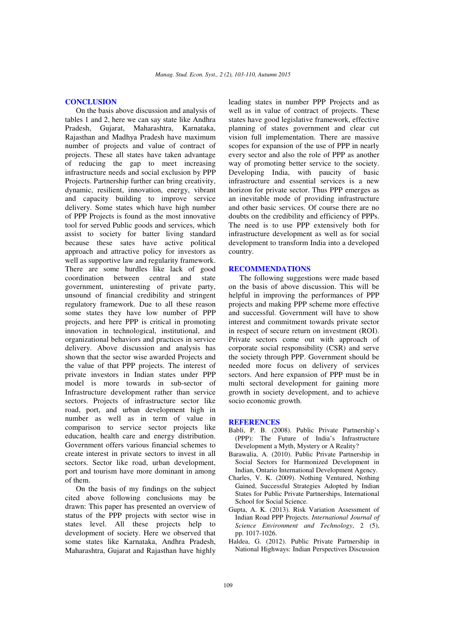# **CONCLUSION**

On the basis above discussion and analysis of tables 1 and 2, here we can say state like Andhra Pradesh, Gujarat, Maharashtra, Karnataka, Rajasthan and Madhya Pradesh have maximum number of projects and value of contract of projects. These all states have taken advantage of reducing the gap to meet increasing infrastructure needs and social exclusion by PPP Projects. Partnership further can bring creativity, dynamic, resilient, innovation, energy, vibrant and capacity building to improve service delivery. Some states which have high number of PPP Projects is found as the most innovative tool for served Public goods and services, which assist to society for batter living standard because these sates have active political approach and attractive policy for investors as well as supportive law and regularity framework. There are some hurdles like lack of good coordination between central and state government, uninteresting of private party, unsound of financial credibility and stringent regulatory framework. Due to all these reason some states they have low number of PPP projects, and here PPP is critical in promoting innovation in technological, institutional, and organizational behaviors and practices in service delivery. Above discussion and analysis has shown that the sector wise awarded Projects and the value of that PPP projects. The interest of private investors in Indian states under PPP model is more towards in sub-sector of Infrastructure development rather than service sectors. Projects of infrastructure sector like road, port, and urban development high in number as well as in term of value in comparison to service sector projects like education, health care and energy distribution. Government offers various financial schemes to create interest in private sectors to invest in all sectors. Sector like road, urban development, port and tourism have more dominant in among of them.

On the basis of my findings on the subject cited above following conclusions may be drawn: This paper has presented an overview of status of the PPP projects with sector wise in states level. All these projects help to development of society. Here we observed that some states like Karnataka, Andhra Pradesh, Maharashtra, Gujarat and Rajasthan have highly

leading states in number PPP Projects and as well as in value of contract of projects. These states have good legislative framework, effective planning of states government and clear cut vision full implementation. There are massive scopes for expansion of the use of PPP in nearly every sector and also the role of PPP as another way of promoting better service to the society. Developing India, with paucity of basic infrastructure and essential services is a new horizon for private sector. Thus PPP emerges as an inevitable mode of providing infrastructure and other basic services. Of course there are no doubts on the credibility and efficiency of PPPs. The need is to use PPP extensively both for infrastructure development as well as for social development to transform India into a developed country.

#### **RECOMMENDATIONS**

The following suggestions were made based on the basis of above discussion. This will be helpful in improving the performances of PPP projects and making PPP scheme more effective and successful. Government will have to show interest and commitment towards private sector in respect of secure return on investment (ROI). Private sectors come out with approach of corporate social responsibility (CSR) and serve the society through PPP. Government should be needed more focus on delivery of services sectors. And here expansion of PPP must be in multi sectoral development for gaining more growth in society development, and to achieve socio economic growth.

#### **REFERENCES**

- Babli, P. B. (2008). Public Private Partnership's (PPP): The Future of India's Infrastructure Development a Myth, Mystery or A Reality?
- Barawalia, A. (2010). Public Private Partnership in Social Sectors for Harmonized Development in Indian, Ontario International Development Agency.
- Charles, V. K. (2009). Nothing Ventured, Nothing Gained, Successful Strategies Adopted by Indian States for Public Private Partnerships, International School for Social Science.
- Gupta, A. K. (2013). Risk Variation Assessment of Indian Road PPP Projects. *International Journal of Science Environment and Technology*, 2 (5), pp. 1017-1026.
- Haldea, G. (2012). Public Private Partnership in National Highways: Indian Perspectives Discussion